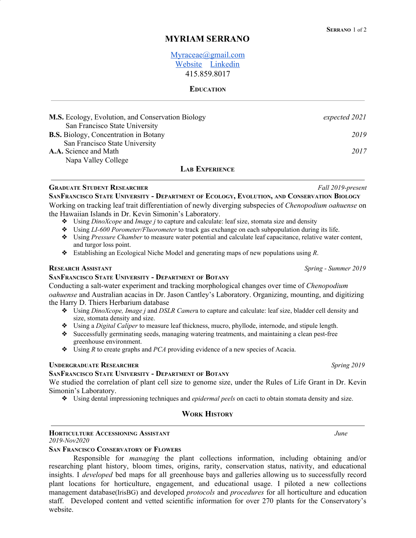# **MYRIAM SERRANO**

# [Myraceae@gmail.com](mailto:Myraceae@gmail.com) [Website](http://myriamserrano.com/) [Linkedin](http://linkedin.com/in/myriam-serrano-165b52132) 415.859.8017

### **EDUCATION**

| M.S. Ecology, Evolution, and Conservation Biology | expected 2021 |
|---------------------------------------------------|---------------|
| San Francisco State University                    |               |
| <b>B.S.</b> Biology, Concentration in Botany      | 2019          |
| San Francisco State University                    |               |
| A.A. Science and Math                             | 2017          |
| Napa Valley College                               |               |
|                                                   |               |

# **LAB EXPERIENCE**

**GRADUATE STUDENT RESEARCHER** *Fall 2019-present*

SANFRANCISCO STATE UNIVERSITY - DEPARTMENT OF ECOLOGY, EVOLUTION, AND CONSERVATION BIOLOGY Working on tracking leaf trait differentiation of newly diverging subspecies of *Chenopodium oahuense* on the Hawaiian Islands in Dr. Kevin Simonin's Laboratory.

- ❖ Using *DinoXcope* and *Image j* to capture and calculate: leaf size, stomata size and density
- ❖ Using *LI-600 Porometer/Fluorometer* to track gas exchange on each subpopulation during its life.
- ❖ Using *Pressure Chamber* to measure water potential and calculate leaf capacitance, relative water content, and turgor loss point.
- ❖ Establishing an Ecological Niche Model and generating maps of new populations using *R*.

### **RESEARCH ASSISTANT** *Spring - Summer 2019*

### **SANFRANCISCO STATE UNIVERSITY - DEPARTMENT OF BOTANY**

Conducting a salt-water experiment and tracking morphological changes over time of *Chenopodium oahuense* and Australian acacias in Dr. Jason Cantley's Laboratory. Organizing, mounting, and digitizing the Harry D. Thiers Herbarium database

- ❖ Using *DinoXcope, Image j* and *DSLR Camer*a to capture and calculate: leaf size, bladder cell density and size, stomata density and size.
- ❖ Using a *Digital Caliper* to measure leaf thickness, mucro, phyllode, internode, and stipule length.
- ❖ Successfully germinating seeds, managing watering treatments, and maintaining a clean pest-free greenhouse environment.
- ❖ Using *R* to create graphs and *PCA* providing evidence of a new species of Acacia.

### **UNDERGRADUATE RESEARCHER** *Spring 2019*

### **SANFRANCISCO STATE UNIVERSITY - DEPARTMENT OF BOTANY**

We studied the correlation of plant cell size to genome size, under the Rules of Life Grant in Dr. Kevin Simonin's Laboratory.

❖ Using dental impressioning techniques and *epidermal peels* on cacti to obtain stomata density and size.

### **WORK HISTORY**

#### **HORTICULTURE ACCESSIONING ASSISTANT** *June 2019-Nov2020*

### **SAN FRANCISCO CONSERVATORY OF FLOWERS**

Responsible for *managing* the plant collections information, including obtaining and/or researching plant history, bloom times, origins, rarity, conservation status, nativity, and educational insights. I *developed* bed maps for all greenhouse bays and galleries allowing us to successfully record plant locations for horticulture, engagement, and educational usage. I piloted a new collections management database(IrisBG) and developed *protocols* and *procedures* for all horticulture and education staff. Developed content and vetted scientific information for over 270 plants for the Conservatory's website.